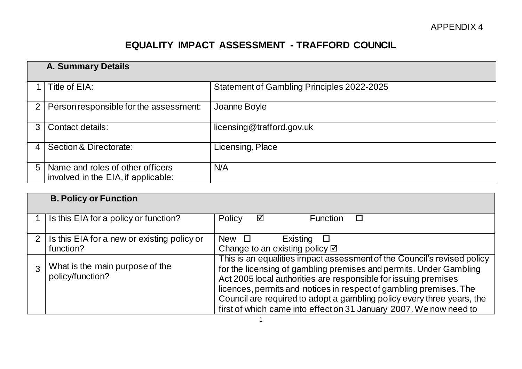## **EQUALITY IMPACT ASSESSMENT - TRAFFORD COUNCIL**

|                | <b>A. Summary Details</b>                                               |                                            |  |
|----------------|-------------------------------------------------------------------------|--------------------------------------------|--|
|                | Title of EIA:                                                           | Statement of Gambling Principles 2022-2025 |  |
| 2 <sub>1</sub> | Person responsible for the assessment:                                  | Joanne Boyle                               |  |
|                | Contact details:                                                        | licensing@trafford.gov.uk                  |  |
|                | Section & Directorate:                                                  | Licensing, Place                           |  |
| 5              | Name and roles of other officers<br>involved in the EIA, if applicable: | N/A                                        |  |

|                | <b>B. Policy or Function</b>                             |                                                                                                                                                                                                                                                                                                                                                                                                                                        |
|----------------|----------------------------------------------------------|----------------------------------------------------------------------------------------------------------------------------------------------------------------------------------------------------------------------------------------------------------------------------------------------------------------------------------------------------------------------------------------------------------------------------------------|
|                | Is this EIA for a policy or function?                    | Policy<br>☑<br><b>Function</b>                                                                                                                                                                                                                                                                                                                                                                                                         |
| 2 <sub>1</sub> | Is this EIA for a new or existing policy or<br>function? | Existing<br>New $\Box$<br>$\Box$<br>Change to an existing policy $\boxtimes$                                                                                                                                                                                                                                                                                                                                                           |
|                | What is the main purpose of the<br>policy/function?      | This is an equalities impact assessment of the Council's revised policy<br>for the licensing of gambling premises and permits. Under Gambling<br>Act 2005 local authorities are responsible for issuing premises<br>licences, permits and notices in respect of gambling premises. The<br>Council are required to adopt a gambling policy every three years, the<br>first of which came into effect on 31 January 2007. We now need to |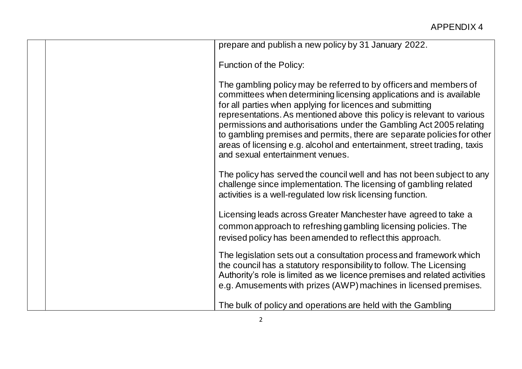|                                  | prepare and publish a new policy by 31 January 2022.                                                                                                                                                                                                                                                                                                                                                                                                                                                          |
|----------------------------------|---------------------------------------------------------------------------------------------------------------------------------------------------------------------------------------------------------------------------------------------------------------------------------------------------------------------------------------------------------------------------------------------------------------------------------------------------------------------------------------------------------------|
| Function of the Policy:          |                                                                                                                                                                                                                                                                                                                                                                                                                                                                                                               |
| and sexual entertainment venues. | The gambling policy may be referred to by officers and members of<br>committees when determining licensing applications and is available<br>for all parties when applying for licences and submitting<br>representations. As mentioned above this policy is relevant to various<br>permissions and authorisations under the Gambling Act 2005 relating<br>to gambling premises and permits, there are separate policies for other<br>areas of licensing e.g. alcohol and entertainment, street trading, taxis |
|                                  | The policy has served the council well and has not been subject to any<br>challenge since implementation. The licensing of gambling related<br>activities is a well-regulated low risk licensing function.                                                                                                                                                                                                                                                                                                    |
|                                  | Licensing leads across Greater Manchester have agreed to take a<br>common approach to refreshing gambling licensing policies. The<br>revised policy has been amended to reflect this approach.                                                                                                                                                                                                                                                                                                                |
|                                  | The legislation sets out a consultation process and framework which<br>the council has a statutory responsibility to follow. The Licensing<br>Authority's role is limited as we licence premises and related activities<br>e.g. Amusements with prizes (AWP) machines in licensed premises.                                                                                                                                                                                                                   |
|                                  | The bulk of policy and operations are held with the Gambling                                                                                                                                                                                                                                                                                                                                                                                                                                                  |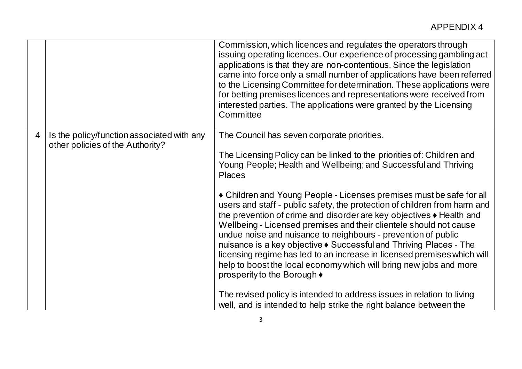|   |                                                                                | Commission, which licences and regulates the operators through<br>issuing operating licences. Our experience of processing gambling act<br>applications is that they are non-contentious. Since the legislation<br>came into force only a small number of applications have been referred<br>to the Licensing Committee for determination. These applications were<br>for betting premises licences and representations were received from<br>interested parties. The applications were granted by the Licensing<br>Committee                                                                                                    |
|---|--------------------------------------------------------------------------------|----------------------------------------------------------------------------------------------------------------------------------------------------------------------------------------------------------------------------------------------------------------------------------------------------------------------------------------------------------------------------------------------------------------------------------------------------------------------------------------------------------------------------------------------------------------------------------------------------------------------------------|
| 4 | Is the policy/function associated with any<br>other policies of the Authority? | The Council has seven corporate priorities.<br>The Licensing Policy can be linked to the priorities of: Children and<br>Young People; Health and Wellbeing; and Successful and Thriving<br><b>Places</b>                                                                                                                                                                                                                                                                                                                                                                                                                         |
|   |                                                                                | • Children and Young People - Licenses premises must be safe for all<br>users and staff - public safety, the protection of children from harm and<br>the prevention of crime and disorder are key objectives $\triangle$ Health and<br>Wellbeing - Licensed premises and their clientele should not cause<br>undue noise and nuisance to neighbours - prevention of public<br>nuisance is a key objective ♦ Successful and Thriving Places - The<br>licensing regime has led to an increase in licensed premises which will<br>help to boost the local economy which will bring new jobs and more<br>prosperity to the Borough ♦ |
|   |                                                                                | The revised policy is intended to address issues in relation to living<br>well, and is intended to help strike the right balance between the                                                                                                                                                                                                                                                                                                                                                                                                                                                                                     |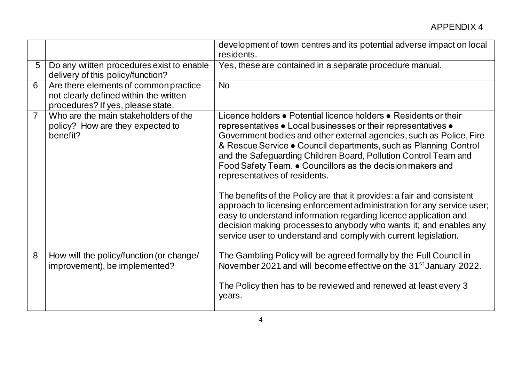|                |                                                                                                                      | development of town centres and its potential adverse impact on local<br>residents.                                                                                                                                                                                                                                                                                                                                                                                                                                                                                                                                                                                                                                                                                                                             |
|----------------|----------------------------------------------------------------------------------------------------------------------|-----------------------------------------------------------------------------------------------------------------------------------------------------------------------------------------------------------------------------------------------------------------------------------------------------------------------------------------------------------------------------------------------------------------------------------------------------------------------------------------------------------------------------------------------------------------------------------------------------------------------------------------------------------------------------------------------------------------------------------------------------------------------------------------------------------------|
| 5              | Do any written procedures exist to enable<br>delivery of this policy/function?                                       | Yes, these are contained in a separate procedure manual.                                                                                                                                                                                                                                                                                                                                                                                                                                                                                                                                                                                                                                                                                                                                                        |
| 6              | Are there elements of common practice<br>not clearly defined within the written<br>procedures? If yes, please state. | <b>No</b>                                                                                                                                                                                                                                                                                                                                                                                                                                                                                                                                                                                                                                                                                                                                                                                                       |
| $\overline{7}$ | Who are the main stakeholders of the<br>policy? How are they expected to<br>benefit?                                 | Licence holders • Potential licence holders • Residents or their<br>representatives • Local businesses or their representatives •<br>Government bodies and other external agencies, such as Police, Fire<br>& Rescue Service • Council departments, such as Planning Control<br>and the Safeguarding Children Board, Pollution Control Team and<br>Food Safety Team. • Councillors as the decision makers and<br>representatives of residents.<br>The benefits of the Policy are that it provides: a fair and consistent<br>approach to licensing enforcement administration for any service user;<br>easy to understand information regarding licence application and<br>decision making processes to anybody who wants it; and enables any<br>service user to understand and comply with current legislation. |
| 8              | How will the policy/function (or change/<br>improvement), be implemented?                                            | The Gambling Policy will be agreed formally by the Full Council in<br>November 2021 and will become effective on the 31 <sup>st</sup> January 2022.<br>The Policy then has to be reviewed and renewed at least every 3<br>years.                                                                                                                                                                                                                                                                                                                                                                                                                                                                                                                                                                                |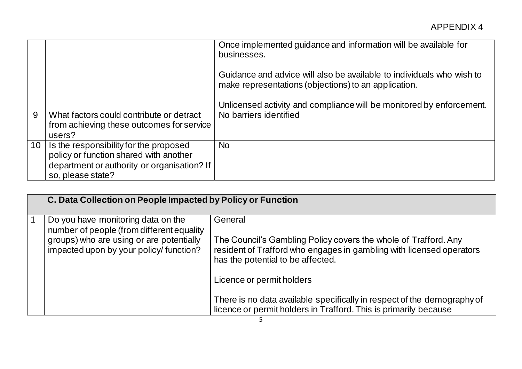|    |                                             | Once implemented guidance and information will be available for<br>businesses.                                                |
|----|---------------------------------------------|-------------------------------------------------------------------------------------------------------------------------------|
|    |                                             | Guidance and advice will also be available to individuals who wish to<br>make representations (objections) to an application. |
|    |                                             | Unlicensed activity and compliance will be monitored by enforcement.                                                          |
| 9  | What factors could contribute or detract    | No barriers identified                                                                                                        |
|    | from achieving these outcomes for service   |                                                                                                                               |
|    | users?                                      |                                                                                                                               |
| 10 | Is the responsibility for the proposed      | <b>No</b>                                                                                                                     |
|    | policy or function shared with another      |                                                                                                                               |
|    | department or authority or organisation? If |                                                                                                                               |
|    | so, please state?                           |                                                                                                                               |

| C. Data Collection on People Impacted by Policy or Function                        |                                                                                                                                                                              |
|------------------------------------------------------------------------------------|------------------------------------------------------------------------------------------------------------------------------------------------------------------------------|
| Do you have monitoring data on the<br>number of people (from different equality    | General                                                                                                                                                                      |
| groups) who are using or are potentially<br>impacted upon by your policy/function? | The Council's Gambling Policy covers the whole of Trafford. Any<br>resident of Trafford who engages in gambling with licensed operators<br>has the potential to be affected. |
|                                                                                    | Licence or permit holders                                                                                                                                                    |
|                                                                                    | There is no data available specifically in respect of the demography of<br>licence or permit holders in Trafford. This is primarily because                                  |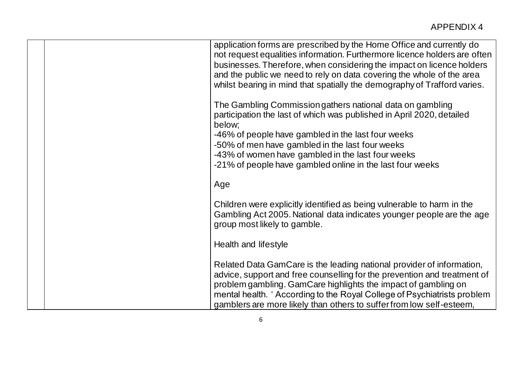| application forms are prescribed by the Home Office and currently do<br>not request equalities information. Furthermore licence holders are often<br>businesses. Therefore, when considering the impact on licence holders<br>and the public we need to rely on data covering the whole of the area<br>whilst bearing in mind that spatially the demography of Trafford varies. |
|---------------------------------------------------------------------------------------------------------------------------------------------------------------------------------------------------------------------------------------------------------------------------------------------------------------------------------------------------------------------------------|
| The Gambling Commission gathers national data on gambling<br>participation the last of which was published in April 2020, detailed<br>below;<br>-46% of people have gambled in the last four weeks<br>-50% of men have gambled in the last four weeks<br>-43% of women have gambled in the last four weeks<br>-21% of people have gambled online in the last four weeks         |
| Age                                                                                                                                                                                                                                                                                                                                                                             |
| Children were explicitly identified as being vulnerable to harm in the<br>Gambling Act 2005. National data indicates younger people are the age<br>group most likely to gamble.                                                                                                                                                                                                 |
| Health and lifestyle                                                                                                                                                                                                                                                                                                                                                            |
| Related Data GamCare is the leading national provider of information,<br>advice, support and free counselling for the prevention and treatment of<br>problem gambling. GamCare highlights the impact of gambling on<br>mental health. 'According to the Royal College of Psychiatrists problem<br>gamblers are more likely than others to suffer from low self-esteem,          |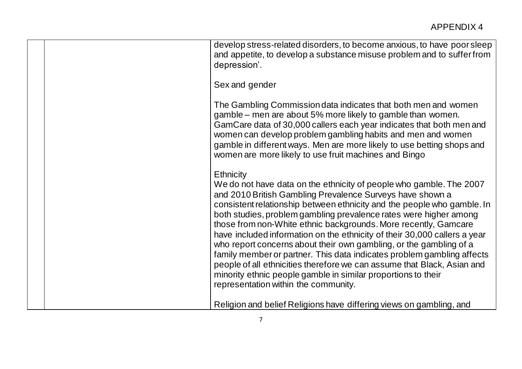|  | develop stress-related disorders, to become anxious, to have poor sleep<br>and appetite, to develop a substance misuse problem and to suffer from<br>depression'.                                                                                                                                                                                                                                                                                                                                                                                                                                                                                                                                                                                                                        |
|--|------------------------------------------------------------------------------------------------------------------------------------------------------------------------------------------------------------------------------------------------------------------------------------------------------------------------------------------------------------------------------------------------------------------------------------------------------------------------------------------------------------------------------------------------------------------------------------------------------------------------------------------------------------------------------------------------------------------------------------------------------------------------------------------|
|  | Sex and gender                                                                                                                                                                                                                                                                                                                                                                                                                                                                                                                                                                                                                                                                                                                                                                           |
|  | The Gambling Commission data indicates that both men and women<br>gamble – men are about 5% more likely to gamble than women.<br>GamCare data of 30,000 callers each year indicates that both men and<br>women can develop problem gambling habits and men and women<br>gamble in different ways. Men are more likely to use betting shops and<br>women are more likely to use fruit machines and Bingo                                                                                                                                                                                                                                                                                                                                                                                  |
|  | <b>Ethnicity</b><br>We do not have data on the ethnicity of people who gamble. The 2007<br>and 2010 British Gambling Prevalence Surveys have shown a<br>consistent relationship between ethnicity and the people who gamble. In<br>both studies, problem gambling prevalence rates were higher among<br>those from non-White ethnic backgrounds. More recently, Gamcare<br>have included information on the ethnicity of their 30,000 callers a year<br>who report concerns about their own gambling, or the gambling of a<br>family member or partner. This data indicates problem gambling affects<br>people of all ethnicities therefore we can assume that Black, Asian and<br>minority ethnic people gamble in similar proportions to their<br>representation within the community. |
|  | Religion and belief Religions have differing views on gambling, and                                                                                                                                                                                                                                                                                                                                                                                                                                                                                                                                                                                                                                                                                                                      |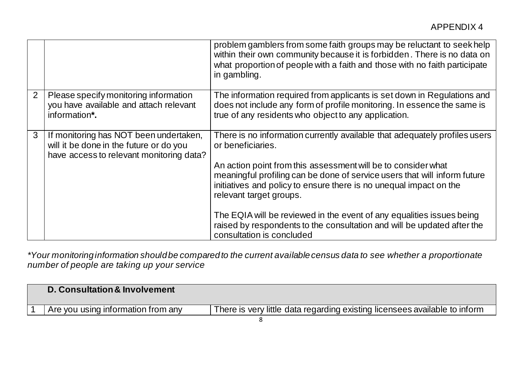|   |                                                                                                                               | problem gamblers from some faith groups may be reluctant to seek help<br>within their own community because it is forbidden. There is no data on<br>what proportion of people with a faith and those with no faith participate<br>in gambling.                                                                                                                                                                                                                                                                                  |
|---|-------------------------------------------------------------------------------------------------------------------------------|---------------------------------------------------------------------------------------------------------------------------------------------------------------------------------------------------------------------------------------------------------------------------------------------------------------------------------------------------------------------------------------------------------------------------------------------------------------------------------------------------------------------------------|
| 2 | Please specify monitoring information<br>you have available and attach relevant<br>information*.                              | The information required from applicants is set down in Regulations and<br>does not include any form of profile monitoring. In essence the same is<br>true of any residents who object to any application.                                                                                                                                                                                                                                                                                                                      |
| 3 | If monitoring has NOT been undertaken,<br>will it be done in the future or do you<br>have access to relevant monitoring data? | There is no information currently available that adequately profiles users<br>or beneficiaries.<br>An action point from this assessment will be to consider what<br>meaningful profiling can be done of service users that will inform future<br>initiatives and policy to ensure there is no unequal impact on the<br>relevant target groups.<br>The EQIA will be reviewed in the event of any equalities issues being<br>raised by respondents to the consultation and will be updated after the<br>consultation is concluded |

*\*Your monitoring information should be compared to the current available census data to see whether a proportionate number of people are taking up your service*

|  | D. Consultation & Involvement      |                                                                            |
|--|------------------------------------|----------------------------------------------------------------------------|
|  | Are you using information from any | There is very little data regarding existing licensees available to inform |
|  |                                    |                                                                            |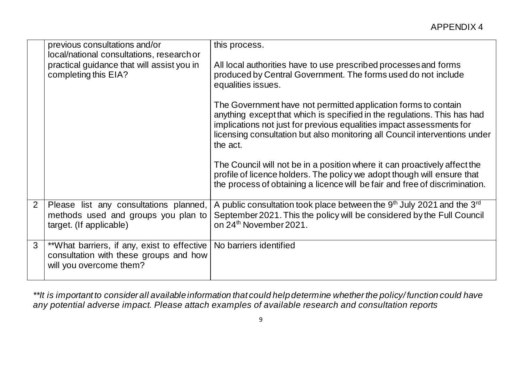|              | previous consultations and/or<br>local/national consultations, research or                                       | this process.                                                                                                                                                                                                                                                                                                |
|--------------|------------------------------------------------------------------------------------------------------------------|--------------------------------------------------------------------------------------------------------------------------------------------------------------------------------------------------------------------------------------------------------------------------------------------------------------|
|              | practical guidance that will assist you in<br>completing this EIA?                                               | All local authorities have to use prescribed processes and forms<br>produced by Central Government. The forms used do not include<br>equalities issues.                                                                                                                                                      |
|              |                                                                                                                  | The Government have not permitted application forms to contain<br>anything except that which is specified in the regulations. This has had<br>implications not just for previous equalities impact assessments for<br>licensing consultation but also monitoring all Council interventions under<br>the act. |
|              |                                                                                                                  | The Council will not be in a position where it can proactively affect the<br>profile of licence holders. The policy we adopt though will ensure that<br>the process of obtaining a licence will be fair and free of discrimination.                                                                          |
| 2            | Please list any consultations planned,<br>methods used and groups you plan to<br>target. (If applicable)         | A public consultation took place between the $9th$ July 2021 and the $3rd$<br>September 2021. This the policy will be considered by the Full Council<br>on 24 <sup>th</sup> November 2021.                                                                                                                   |
| $\mathbf{3}$ | **What barriers, if any, exist to effective<br>consultation with these groups and how<br>will you overcome them? | No barriers identified                                                                                                                                                                                                                                                                                       |

*\*\*It is important to consider all available information that could help determine whether the policy/ function could have any potential adverse impact. Please attach examples of available research and consultation reports*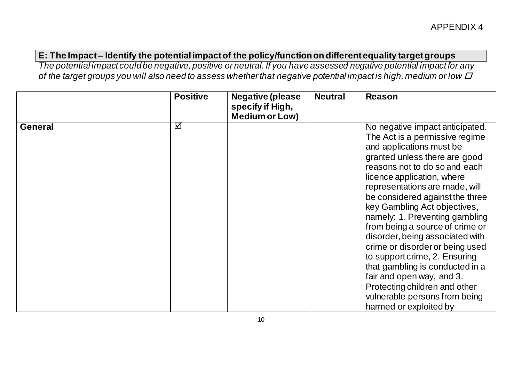## **E: The Impact – Identify the potential impact of the policy/function on different equality target groups**

*The potential impact could be negative, positive or neutral. If you have assessed negative potential impact for any of the target groups you will also need to assess whether that negative potential impact is high, medium or low*

|                | <b>Positive</b> | <b>Negative (please</b><br>specify if High,<br><b>Medium or Low)</b> | <b>Neutral</b> | <b>Reason</b>                                                                                                                                                                                                                                                                                                                                                                                                                                                                                                                                                                                                                              |
|----------------|-----------------|----------------------------------------------------------------------|----------------|--------------------------------------------------------------------------------------------------------------------------------------------------------------------------------------------------------------------------------------------------------------------------------------------------------------------------------------------------------------------------------------------------------------------------------------------------------------------------------------------------------------------------------------------------------------------------------------------------------------------------------------------|
| <b>General</b> | ☑               |                                                                      |                | No negative impact anticipated.<br>The Act is a permissive regime<br>and applications must be<br>granted unless there are good<br>reasons not to do so and each<br>licence application, where<br>representations are made, will<br>be considered against the three<br>key Gambling Act objectives,<br>namely: 1. Preventing gambling<br>from being a source of crime or<br>disorder, being associated with<br>crime or disorder or being used<br>to support crime, 2. Ensuring<br>that gambling is conducted in a<br>fair and open way, and 3.<br>Protecting children and other<br>vulnerable persons from being<br>harmed or exploited by |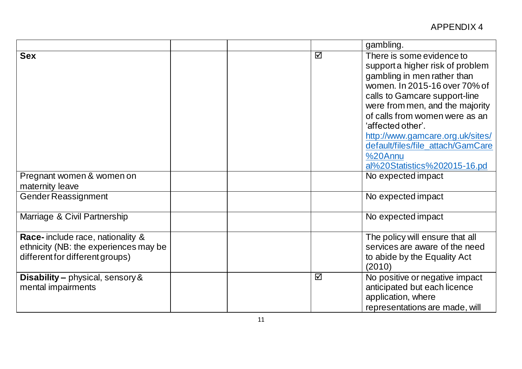|                                                                                                              |  |   | gambling.                                                                                                                                                                                                                                                                                                                                                                    |
|--------------------------------------------------------------------------------------------------------------|--|---|------------------------------------------------------------------------------------------------------------------------------------------------------------------------------------------------------------------------------------------------------------------------------------------------------------------------------------------------------------------------------|
| <b>Sex</b>                                                                                                   |  | ☑ | There is some evidence to<br>support a higher risk of problem<br>gambling in men rather than<br>women. In 2015-16 over 70% of<br>calls to Gamcare support-line<br>were from men, and the majority<br>of calls from women were as an<br>'affected other'.<br>http://www.gamcare.org.uk/sites/<br>default/files/file attach/GamCare<br>%20Annu<br>al%20Statistics%202015-16.pd |
| Pregnant women & women on<br>maternity leave                                                                 |  |   | No expected impact                                                                                                                                                                                                                                                                                                                                                           |
| <b>Gender Reassignment</b>                                                                                   |  |   | No expected impact                                                                                                                                                                                                                                                                                                                                                           |
| Marriage & Civil Partnership                                                                                 |  |   | No expected impact                                                                                                                                                                                                                                                                                                                                                           |
| Race-include race, nationality &<br>ethnicity (NB: the experiences may be<br>different for different groups) |  |   | The policy will ensure that all<br>services are aware of the need<br>to abide by the Equality Act<br>(2010)                                                                                                                                                                                                                                                                  |
| <b>Disability - physical, sensory &amp;</b><br>mental impairments                                            |  | ☑ | No positive or negative impact<br>anticipated but each licence<br>application, where<br>representations are made, will                                                                                                                                                                                                                                                       |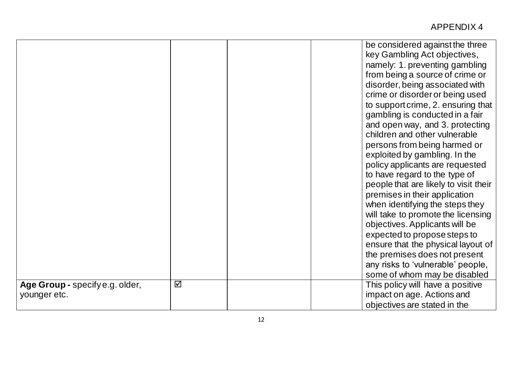|                                                 |   |  | be considered against the three<br>key Gambling Act objectives,<br>namely: 1. preventing gambling<br>from being a source of crime or<br>disorder, being associated with<br>crime or disorder or being used<br>to support crime, 2. ensuring that<br>gambling is conducted in a fair |
|-------------------------------------------------|---|--|-------------------------------------------------------------------------------------------------------------------------------------------------------------------------------------------------------------------------------------------------------------------------------------|
|                                                 |   |  | and open way, and 3. protecting<br>children and other vulnerable<br>persons from being harmed or<br>exploited by gambling. In the                                                                                                                                                   |
|                                                 |   |  | policy applicants are requested<br>to have regard to the type of<br>people that are likely to visit their                                                                                                                                                                           |
|                                                 |   |  | premises in their application<br>when identifying the steps they<br>will take to promote the licensing<br>objectives. Applicants will be                                                                                                                                            |
|                                                 |   |  | expected to propose steps to<br>ensure that the physical layout of<br>the premises does not present                                                                                                                                                                                 |
|                                                 |   |  | any risks to 'vulnerable' people,<br>some of whom may be disabled                                                                                                                                                                                                                   |
| Age Group - specify e.g. older,<br>younger etc. | ☑ |  | This policy will have a positive<br>impact on age. Actions and<br>objectives are stated in the                                                                                                                                                                                      |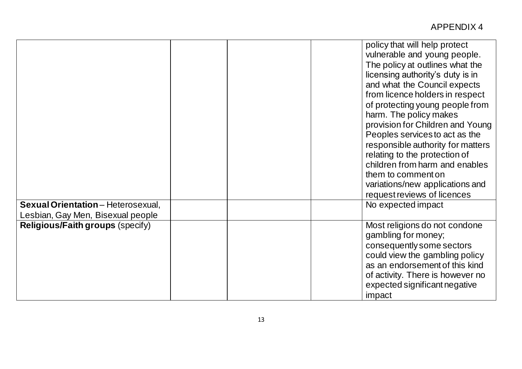|                                           | policy that will help protect<br>vulnerable and young people.<br>The policy at outlines what the<br>licensing authority's duty is in<br>and what the Council expects<br>from licence holders in respect<br>of protecting young people from<br>harm. The policy makes<br>provision for Children and Young<br>Peoples services to act as the<br>responsible authority for matters<br>relating to the protection of<br>children from harm and enables<br>them to comment on<br>variations/new applications and<br>request reviews of licences |
|-------------------------------------------|--------------------------------------------------------------------------------------------------------------------------------------------------------------------------------------------------------------------------------------------------------------------------------------------------------------------------------------------------------------------------------------------------------------------------------------------------------------------------------------------------------------------------------------------|
| <b>Sexual Orientation</b> - Heterosexual, | No expected impact                                                                                                                                                                                                                                                                                                                                                                                                                                                                                                                         |
| Lesbian, Gay Men, Bisexual people         |                                                                                                                                                                                                                                                                                                                                                                                                                                                                                                                                            |
| <b>Religious/Faith groups (specify)</b>   | Most religions do not condone<br>gambling for money;<br>consequently some sectors<br>could view the gambling policy<br>as an endorsement of this kind<br>of activity. There is however no<br>expected significant negative<br>impact                                                                                                                                                                                                                                                                                                       |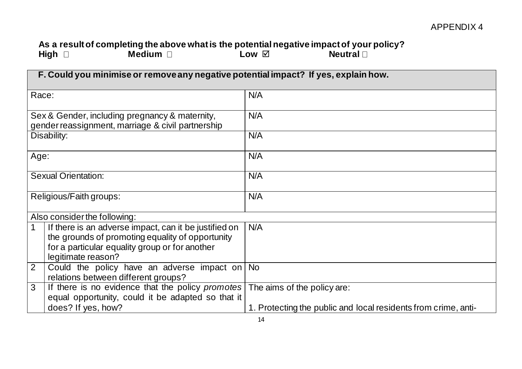## **As a result of completing the above what is the potential negative impact of your policy?** High □ Medium □ Low ☑ Neutral

| F. Could you minimise or remove any negative potential impact? If yes, explain how.                                                                                                              |                                                                |  |  |  |
|--------------------------------------------------------------------------------------------------------------------------------------------------------------------------------------------------|----------------------------------------------------------------|--|--|--|
| Race:                                                                                                                                                                                            | N/A                                                            |  |  |  |
| Sex & Gender, including pregnancy & maternity,<br>gender reassignment, marriage & civil partnership                                                                                              | N/A                                                            |  |  |  |
| Disability:                                                                                                                                                                                      | N/A                                                            |  |  |  |
| Age:                                                                                                                                                                                             | N/A                                                            |  |  |  |
| <b>Sexual Orientation:</b>                                                                                                                                                                       | N/A                                                            |  |  |  |
| Religious/Faith groups:                                                                                                                                                                          | N/A                                                            |  |  |  |
| Also consider the following:                                                                                                                                                                     |                                                                |  |  |  |
| If there is an adverse impact, can it be justified on<br>$\mathbf 1$<br>the grounds of promoting equality of opportunity<br>for a particular equality group or for another<br>legitimate reason? | N/A                                                            |  |  |  |
| $\overline{2}$<br>Could the policy have an adverse impact on $\sqrt{N}$<br>relations between different groups?                                                                                   |                                                                |  |  |  |
| If there is no evidence that the policy promotes<br>$\mathbf{3}$<br>equal opportunity, could it be adapted so that it                                                                            | The aims of the policy are:                                    |  |  |  |
| does? If yes, how?                                                                                                                                                                               | 1. Protecting the public and local residents from crime, anti- |  |  |  |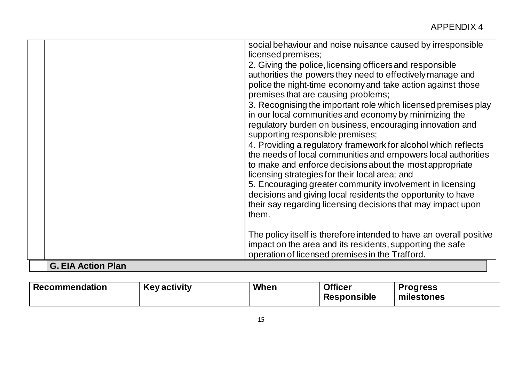| operation of licensed premises in the Trafford.<br><b>G. EIA Action Plan</b>                                                                                                                                                                                                                                                                                                                                                                                                                                                                         |
|------------------------------------------------------------------------------------------------------------------------------------------------------------------------------------------------------------------------------------------------------------------------------------------------------------------------------------------------------------------------------------------------------------------------------------------------------------------------------------------------------------------------------------------------------|
| The policy itself is therefore intended to have an overall positive<br>impact on the area and its residents, supporting the safe                                                                                                                                                                                                                                                                                                                                                                                                                     |
| regulatory burden on business, encouraging innovation and<br>supporting responsible premises;<br>4. Providing a regulatory framework for alcohol which reflects<br>the needs of local communities and empowers local authorities<br>to make and enforce decisions about the most appropriate<br>licensing strategies for their local area; and<br>5. Encouraging greater community involvement in licensing<br>decisions and giving local residents the opportunity to have<br>their say regarding licensing decisions that may impact upon<br>them. |
| social behaviour and noise nuisance caused by irresponsible<br>licensed premises;<br>2. Giving the police, licensing officers and responsible<br>authorities the powers they need to effectively manage and<br>police the night-time economy and take action against those<br>premises that are causing problems;<br>3. Recognising the important role which licensed premises play<br>in our local communities and economy by minimizing the                                                                                                        |

| Recommendation | <b>Key activity</b> | When | <b>Officer</b><br><b>Responsible</b> | <b>Progress</b><br>milestones |
|----------------|---------------------|------|--------------------------------------|-------------------------------|
|                |                     |      |                                      |                               |